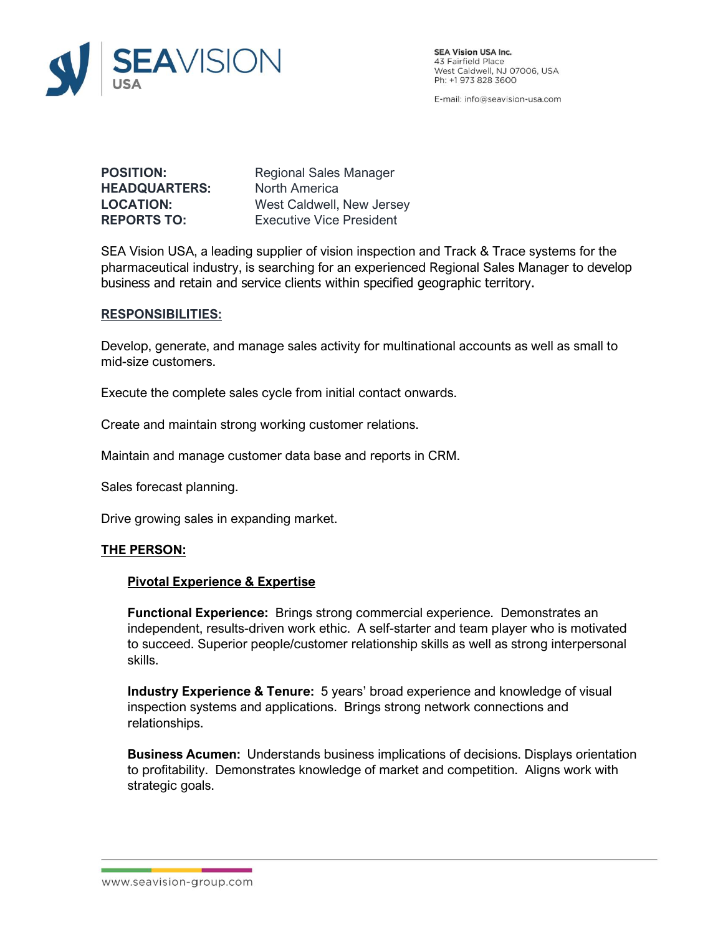

**SEA Vision USA Inc.** 43 Fairfield Place<br>West Caldwell, NJ 07006, USA Ph: +1 973 828 3600

E-mail: info@seavision-usa.com

**HEADQUARTERS:** North America

**POSITION:** Regional Sales Manager **LOCATION:** West Caldwell, New Jersey **REPORTS TO:** Executive Vice President

SEA Vision USA, a leading supplier of vision inspection and Track & Trace systems for the pharmaceutical industry, is searching for an experienced Regional Sales Manager to develop business and retain and service clients within specified geographic territory.

### **RESPONSIBILITIES:**

Develop, generate, and manage sales activity for multinational accounts as well as small to mid-size customers.

Execute the complete sales cycle from initial contact onwards.

Create and maintain strong working customer relations.

Maintain and manage customer data base and reports in CRM.

Sales forecast planning.

Drive growing sales in expanding market.

# **THE PERSON:**

### **Pivotal Experience & Expertise**

**Functional Experience:** Brings strong commercial experience. Demonstrates an independent, results-driven work ethic. A self-starter and team player who is motivated to succeed. Superior people/customer relationship skills as well as strong interpersonal skills.

**Industry Experience & Tenure:** 5 years' broad experience and knowledge of visual inspection systems and applications. Brings strong network connections and relationships.

**Business Acumen:** Understands business implications of decisions. Displays orientation to profitability. Demonstrates knowledge of market and competition. Aligns work with strategic goals.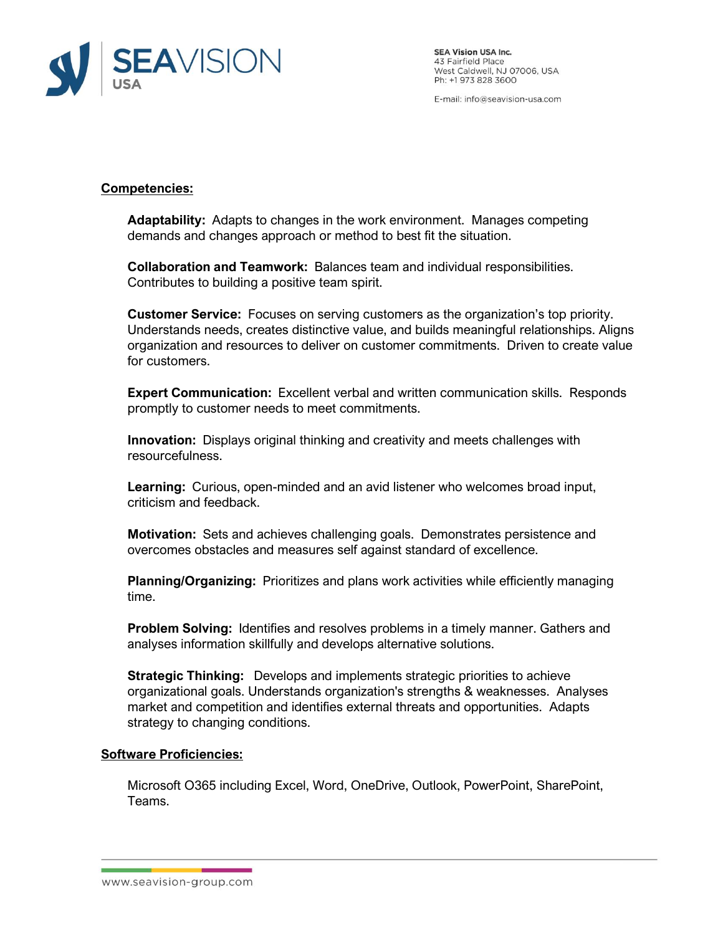

**SEA Vision USA Inc.** 43 Fairfield Place<br>West Caldwell, NJ 07006, USA Ph: +1 973 828 3600

E-mail: info@seavision-usa.com

## **Competencies:**

**Adaptability:** Adapts to changes in the work environment. Manages competing demands and changes approach or method to best fit the situation.

**Collaboration and Teamwork:** Balances team and individual responsibilities. Contributes to building a positive team spirit.

**Customer Service:** Focuses on serving customers as the organization's top priority. Understands needs, creates distinctive value, and builds meaningful relationships. Aligns organization and resources to deliver on customer commitments. Driven to create value for customers.

**Expert Communication:** Excellent verbal and written communication skills. Responds promptly to customer needs to meet commitments.

**Innovation:** Displays original thinking and creativity and meets challenges with resourcefulness.

**Learning:** Curious, open-minded and an avid listener who welcomes broad input, criticism and feedback.

**Motivation:** Sets and achieves challenging goals. Demonstrates persistence and overcomes obstacles and measures self against standard of excellence.

**Planning/Organizing:** Prioritizes and plans work activities while efficiently managing time.

**Problem Solving:** Identifies and resolves problems in a timely manner. Gathers and analyses information skillfully and develops alternative solutions.

**Strategic Thinking:** Develops and implements strategic priorities to achieve organizational goals. Understands organization's strengths & weaknesses. Analyses market and competition and identifies external threats and opportunities. Adapts strategy to changing conditions.

## **Software Proficiencies:**

Microsoft O365 including Excel, Word, OneDrive, Outlook, PowerPoint, SharePoint, Teams.

www.seavision-group.com